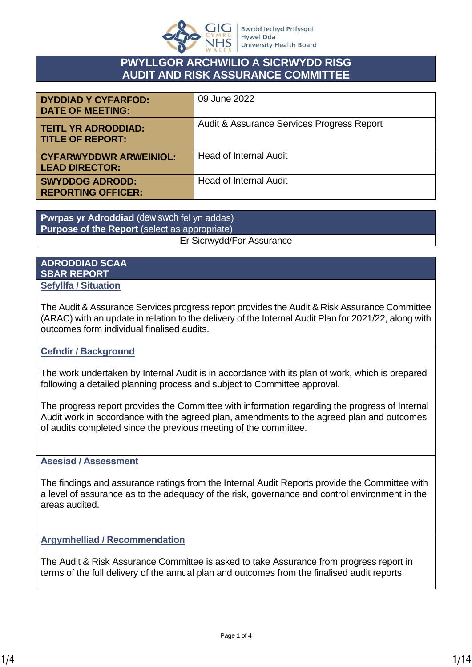

## **PWYLLGOR ARCHWILIO A SICRWYDD RISG AUDIT AND RISK ASSURANCE COMMITTEE**

| <b>DYDDIAD Y CYFARFOD:</b><br><b>DATE OF MEETING:</b>  | 09 June 2022                               |
|--------------------------------------------------------|--------------------------------------------|
| <b>TEITL YR ADRODDIAD:</b><br><b>TITLE OF REPORT:</b>  | Audit & Assurance Services Progress Report |
| <b>CYFARWYDDWR ARWEINIOL:</b><br><b>LEAD DIRECTOR:</b> | <b>Head of Internal Audit</b>              |
| <b>SWYDDOG ADRODD:</b><br><b>REPORTING OFFICER:</b>    | <b>Head of Internal Audit</b>              |

**Pwrpas yr Adroddiad** (dewiswch fel yn addas) **Purpose of the Report** (select as appropriate)

### Er Sicrwydd/For Assurance

### **ADRODDIAD SCAA SBAR REPORT Sefyllfa / Situation**

The Audit & Assurance Services progress report provides the Audit & Risk Assurance Committee (ARAC) with an update in relation to the delivery of the Internal Audit Plan for 2021/22, along with outcomes form individual finalised audits.

## **Cefndir / Background**

The work undertaken by Internal Audit is in accordance with its plan of work, which is prepared following a detailed planning process and subject to Committee approval.

The progress report provides the Committee with information regarding the progress of Internal Audit work in accordance with the agreed plan, amendments to the agreed plan and outcomes of audits completed since the previous meeting of the committee.

## **Asesiad / Assessment**

The findings and assurance ratings from the Internal Audit Reports provide the Committee with a level of assurance as to the adequacy of the risk, governance and control environment in the areas audited.

## **Argymhelliad / Recommendation**

The Audit & Risk Assurance Committee is asked to take Assurance from progress report in terms of the full delivery of the annual plan and outcomes from the finalised audit reports.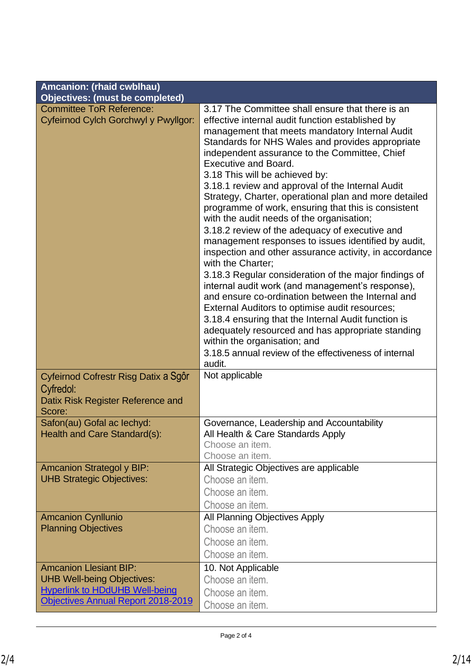| Amcanion: (rhaid cwblhau)                                                                        |                                                                                                                                                                                                                                                                                                                                                                                                                                                                                                                                                                                                                                                                                                                                                                                                                                                                                                                                                                                                                                                                                                                                                                |  |  |  |  |  |  |  |
|--------------------------------------------------------------------------------------------------|----------------------------------------------------------------------------------------------------------------------------------------------------------------------------------------------------------------------------------------------------------------------------------------------------------------------------------------------------------------------------------------------------------------------------------------------------------------------------------------------------------------------------------------------------------------------------------------------------------------------------------------------------------------------------------------------------------------------------------------------------------------------------------------------------------------------------------------------------------------------------------------------------------------------------------------------------------------------------------------------------------------------------------------------------------------------------------------------------------------------------------------------------------------|--|--|--|--|--|--|--|
| <b>Objectives: (must be completed)</b>                                                           |                                                                                                                                                                                                                                                                                                                                                                                                                                                                                                                                                                                                                                                                                                                                                                                                                                                                                                                                                                                                                                                                                                                                                                |  |  |  |  |  |  |  |
| <b>Committee ToR Reference:</b><br>Cyfeirnod Cylch Gorchwyl y Pwyllgor:                          | 3.17 The Committee shall ensure that there is an<br>effective internal audit function established by<br>management that meets mandatory Internal Audit<br>Standards for NHS Wales and provides appropriate<br>independent assurance to the Committee, Chief<br><b>Executive and Board.</b><br>3.18 This will be achieved by:<br>3.18.1 review and approval of the Internal Audit<br>Strategy, Charter, operational plan and more detailed<br>programme of work, ensuring that this is consistent<br>with the audit needs of the organisation;<br>3.18.2 review of the adequacy of executive and<br>management responses to issues identified by audit,<br>inspection and other assurance activity, in accordance<br>with the Charter:<br>3.18.3 Regular consideration of the major findings of<br>internal audit work (and management's response),<br>and ensure co-ordination between the Internal and<br>External Auditors to optimise audit resources;<br>3.18.4 ensuring that the Internal Audit function is<br>adequately resourced and has appropriate standing<br>within the organisation; and<br>3.18.5 annual review of the effectiveness of internal |  |  |  |  |  |  |  |
| Cyfeirnod Cofrestr Risg Datix a Sgôr<br>Cyfredol:<br>Datix Risk Register Reference and<br>Score: | Not applicable                                                                                                                                                                                                                                                                                                                                                                                                                                                                                                                                                                                                                                                                                                                                                                                                                                                                                                                                                                                                                                                                                                                                                 |  |  |  |  |  |  |  |
| Safon(au) Gofal ac lechyd:                                                                       | Governance, Leadership and Accountability                                                                                                                                                                                                                                                                                                                                                                                                                                                                                                                                                                                                                                                                                                                                                                                                                                                                                                                                                                                                                                                                                                                      |  |  |  |  |  |  |  |
| <b>Health and Care Standard(s):</b>                                                              | All Health & Care Standards Apply                                                                                                                                                                                                                                                                                                                                                                                                                                                                                                                                                                                                                                                                                                                                                                                                                                                                                                                                                                                                                                                                                                                              |  |  |  |  |  |  |  |
|                                                                                                  | Choose an item.                                                                                                                                                                                                                                                                                                                                                                                                                                                                                                                                                                                                                                                                                                                                                                                                                                                                                                                                                                                                                                                                                                                                                |  |  |  |  |  |  |  |
|                                                                                                  | Choose an item.                                                                                                                                                                                                                                                                                                                                                                                                                                                                                                                                                                                                                                                                                                                                                                                                                                                                                                                                                                                                                                                                                                                                                |  |  |  |  |  |  |  |
| <b>Amcanion Strategol y BIP:</b>                                                                 | All Strategic Objectives are applicable                                                                                                                                                                                                                                                                                                                                                                                                                                                                                                                                                                                                                                                                                                                                                                                                                                                                                                                                                                                                                                                                                                                        |  |  |  |  |  |  |  |
| <b>UHB Strategic Objectives:</b>                                                                 | Choose an item.                                                                                                                                                                                                                                                                                                                                                                                                                                                                                                                                                                                                                                                                                                                                                                                                                                                                                                                                                                                                                                                                                                                                                |  |  |  |  |  |  |  |
|                                                                                                  | Choose an item.                                                                                                                                                                                                                                                                                                                                                                                                                                                                                                                                                                                                                                                                                                                                                                                                                                                                                                                                                                                                                                                                                                                                                |  |  |  |  |  |  |  |
|                                                                                                  | Choose an item.                                                                                                                                                                                                                                                                                                                                                                                                                                                                                                                                                                                                                                                                                                                                                                                                                                                                                                                                                                                                                                                                                                                                                |  |  |  |  |  |  |  |
| <b>Amcanion Cynllunio</b><br><b>Planning Objectives</b>                                          | All Planning Objectives Apply<br>Choose an item.                                                                                                                                                                                                                                                                                                                                                                                                                                                                                                                                                                                                                                                                                                                                                                                                                                                                                                                                                                                                                                                                                                               |  |  |  |  |  |  |  |
|                                                                                                  | Choose an item.                                                                                                                                                                                                                                                                                                                                                                                                                                                                                                                                                                                                                                                                                                                                                                                                                                                                                                                                                                                                                                                                                                                                                |  |  |  |  |  |  |  |
|                                                                                                  | Choose an item.                                                                                                                                                                                                                                                                                                                                                                                                                                                                                                                                                                                                                                                                                                                                                                                                                                                                                                                                                                                                                                                                                                                                                |  |  |  |  |  |  |  |
| <b>Amcanion Llesiant BIP:</b>                                                                    | 10. Not Applicable                                                                                                                                                                                                                                                                                                                                                                                                                                                                                                                                                                                                                                                                                                                                                                                                                                                                                                                                                                                                                                                                                                                                             |  |  |  |  |  |  |  |
| <b>UHB Well-being Objectives:</b>                                                                | Choose an item.                                                                                                                                                                                                                                                                                                                                                                                                                                                                                                                                                                                                                                                                                                                                                                                                                                                                                                                                                                                                                                                                                                                                                |  |  |  |  |  |  |  |
| <b>Hyperlink to HDdUHB Well-being</b>                                                            | Choose an item.                                                                                                                                                                                                                                                                                                                                                                                                                                                                                                                                                                                                                                                                                                                                                                                                                                                                                                                                                                                                                                                                                                                                                |  |  |  |  |  |  |  |
| Objectives Annual Report 2018-2019                                                               | Choose an item.                                                                                                                                                                                                                                                                                                                                                                                                                                                                                                                                                                                                                                                                                                                                                                                                                                                                                                                                                                                                                                                                                                                                                |  |  |  |  |  |  |  |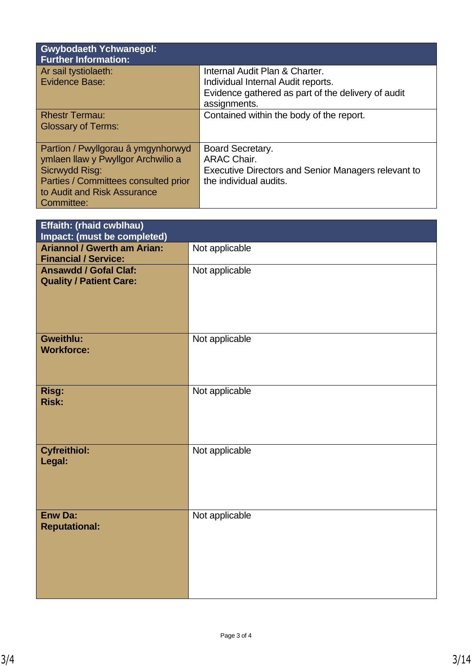| <b>Gwybodaeth Ychwanegol:</b><br><b>Further Information:</b> |                                                            |
|--------------------------------------------------------------|------------------------------------------------------------|
| Ar sail tystiolaeth:                                         | Internal Audit Plan & Charter.                             |
| Evidence Base:                                               | Individual Internal Audit reports.                         |
|                                                              | Evidence gathered as part of the delivery of audit         |
|                                                              | assignments.                                               |
| <b>Rhestr Termau:</b>                                        | Contained within the body of the report.                   |
| <b>Glossary of Terms:</b>                                    |                                                            |
|                                                              |                                                            |
| Partion / Pwyllgorau â ymgynhorwyd                           | Board Secretary.                                           |
| ymlaen llaw y Pwyllgor Archwilio a                           | <b>ARAC Chair.</b>                                         |
| Sicrwydd Risg:                                               | <b>Executive Directors and Senior Managers relevant to</b> |
| Parties / Committees consulted prior                         | the individual audits.                                     |
| to Audit and Risk Assurance                                  |                                                            |
| Committee:                                                   |                                                            |

| Effaith: (rhaid cwblhau)<br>Impact: (must be completed)           |                |
|-------------------------------------------------------------------|----------------|
| <b>Ariannol / Gwerth am Arian:</b><br><b>Financial / Service:</b> | Not applicable |
| <b>Ansawdd / Gofal Claf:</b><br><b>Quality / Patient Care:</b>    | Not applicable |
| <b>Gweithlu:</b><br><b>Workforce:</b>                             | Not applicable |
| Risg:<br><b>Risk:</b>                                             | Not applicable |
| <b>Cyfreithiol:</b><br>Legal:                                     | Not applicable |
| <b>Enw Da:</b><br><b>Reputational:</b>                            | Not applicable |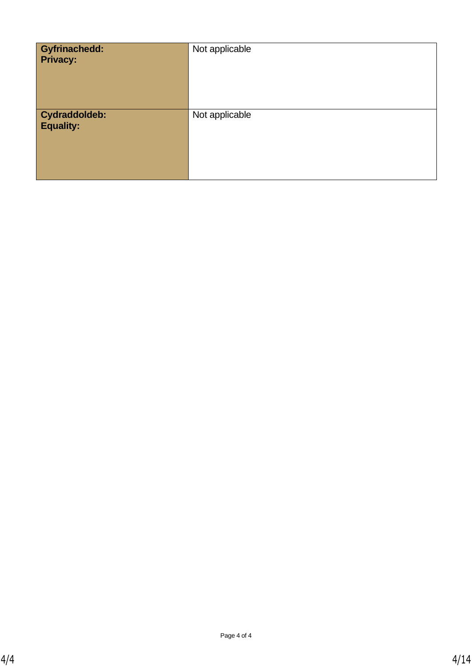| <b>Gyfrinachedd:</b><br><b>Privacy:</b> | Not applicable |
|-----------------------------------------|----------------|
| Cydraddoldeb:<br><b>Equality:</b>       | Not applicable |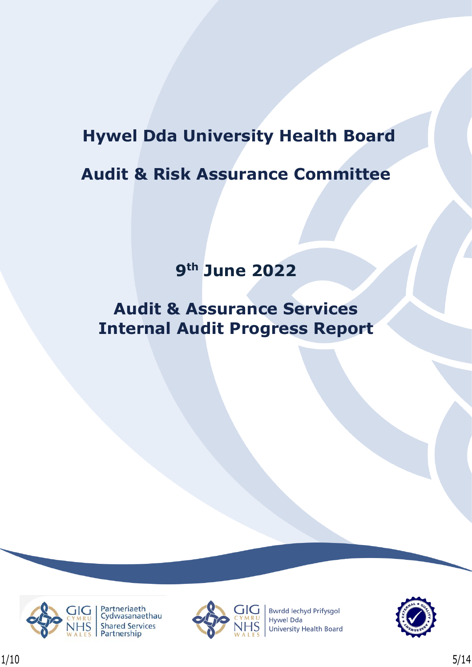# **Hywel Dda University Health Board**

# **Audit & Risk Assurance Committee**

# **9th June 2022**

# **Audit & Assurance Services Internal Audit Progress Report**





**Bwrdd lechyd Prifysgol Hywel Dda** University Health Board

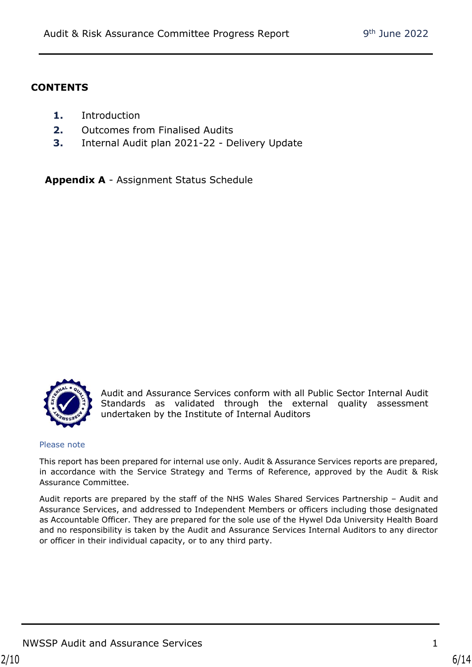## **CONTENTS**

- **1.** Introduction
- **2.** Outcomes from Finalised Audits
- **3.** Internal Audit plan 2021-22 Delivery Update

**Appendix A** - Assignment Status Schedule



Audit and Assurance Services conform with all Public Sector Internal Audit Standards as validated through the external quality assessment undertaken by the Institute of Internal Auditors

#### Please note

This report has been prepared for internal use only. Audit & Assurance Services reports are prepared, in accordance with the Service Strategy and Terms of Reference, approved by the Audit & Risk Assurance Committee.

Audit reports are prepared by the staff of the NHS Wales Shared Services Partnership – Audit and Assurance Services, and addressed to Independent Members or officers including those designated as Accountable Officer. They are prepared for the sole use of the Hywel Dda University Health Board and no responsibility is taken by the Audit and Assurance Services Internal Auditors to any director or officer in their individual capacity, or to any third party.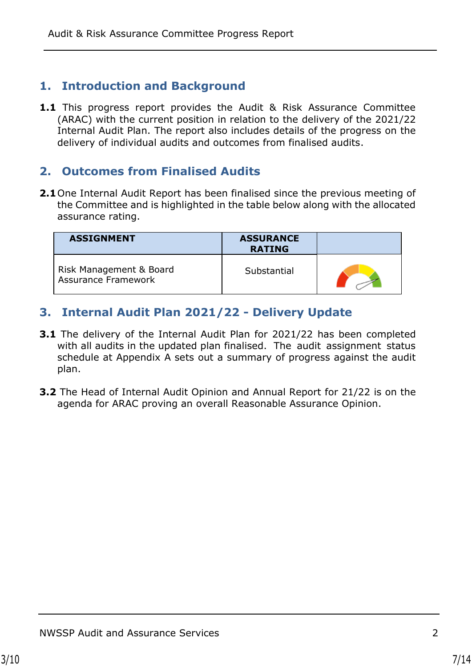# **1. Introduction and Background**

**1.1** This progress report provides the Audit & Risk Assurance Committee (ARAC) with the current position in relation to the delivery of the 2021/22 Internal Audit Plan. The report also includes details of the progress on the delivery of individual audits and outcomes from finalised audits.

# **2. Outcomes from Finalised Audits**

**2.1**One Internal Audit Report has been finalised since the previous meeting of the Committee and is highlighted in the table below along with the allocated assurance rating.

| <b>ASSIGNMENT</b>                                     | <b>ASSURANCE</b><br><b>RATING</b> |  |
|-------------------------------------------------------|-----------------------------------|--|
| Risk Management & Board<br><b>Assurance Framework</b> | Substantial                       |  |

# **3. Internal Audit Plan 2021/22 - Delivery Update**

- **3.1** The delivery of the Internal Audit Plan for 2021/22 has been completed with all audits in the updated plan finalised. The audit assignment status schedule at Appendix A sets out a summary of progress against the audit plan.
- **3.2** The Head of Internal Audit Opinion and Annual Report for 21/22 is on the agenda for ARAC proving an overall Reasonable Assurance Opinion.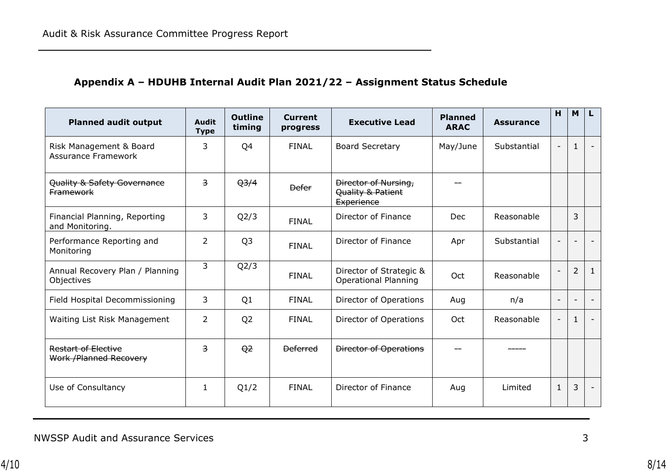# **Appendix A – HDUHB Internal Audit Plan 2021/22 – Assignment Status Schedule**

| <b>Planned audit output</b>                           | <b>Audit</b><br><b>Type</b> | <b>Outline</b><br>timing | <b>Current</b><br>progress | <b>Executive Lead</b>                                          | <b>Planned</b><br><b>ARAC</b> | <b>Assurance</b> | H            | M                        |   |
|-------------------------------------------------------|-----------------------------|--------------------------|----------------------------|----------------------------------------------------------------|-------------------------------|------------------|--------------|--------------------------|---|
| Risk Management & Board<br><b>Assurance Framework</b> | 3                           | Q4                       | <b>FINAL</b>               | <b>Board Secretary</b>                                         | May/June                      | Substantial      |              | $\mathbf{1}$             |   |
| Quality & Safety Governance<br><b>Framework</b>       | $\overline{3}$              | Q <sub>3/4</sub>         | <b>Defer</b>               | Director of Nursing,<br>Quality & Patient<br><b>Experience</b> |                               |                  |              |                          |   |
| Financial Planning, Reporting<br>and Monitoring.      | 3                           | Q2/3                     | <b>FINAL</b>               | Director of Finance                                            | Dec                           | Reasonable       |              | 3                        |   |
| Performance Reporting and<br>Monitoring               | $\overline{2}$              | Q <sub>3</sub>           | <b>FINAL</b>               | Director of Finance                                            | Apr                           | Substantial      |              |                          |   |
| Annual Recovery Plan / Planning<br>Objectives         | 3                           | Q2/3                     | <b>FINAL</b>               | Director of Strategic &<br><b>Operational Planning</b>         | Oct                           | Reasonable       |              | 2                        | 1 |
| Field Hospital Decommissioning                        | 3                           | Q1                       | <b>FINAL</b>               | Director of Operations                                         | Aug                           | n/a              |              | $\overline{\phantom{a}}$ |   |
| Waiting List Risk Management                          | 2                           | Q <sub>2</sub>           | <b>FINAL</b>               | Director of Operations                                         | Oct                           | Reasonable       |              | $\mathbf{1}$             |   |
| Restart of Elective<br>Work / Planned Recovery        | $\overline{3}$              | Q <sub>2</sub>           | <b>Deferred</b>            | <b>Director of Operations</b>                                  |                               |                  |              |                          |   |
| Use of Consultancy                                    | 1                           | Q1/2                     | <b>FINAL</b>               | Director of Finance                                            | Aug                           | Limited          | $\mathbf{1}$ | 3                        |   |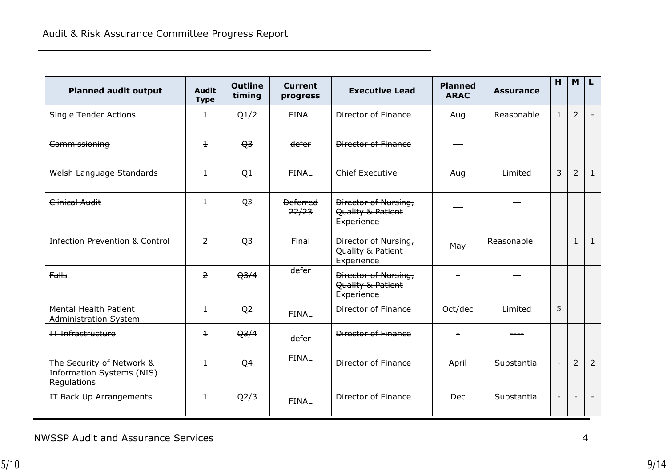| <b>Planned audit output</b>                                                  | <b>Audit</b><br><b>Type</b> | <b>Outline</b><br>timing | <b>Current</b><br>progress | <b>Executive Lead</b>                                   | <b>Planned</b><br><b>ARAC</b> | <b>Assurance</b> | H            | <b>M</b>       | L                        |
|------------------------------------------------------------------------------|-----------------------------|--------------------------|----------------------------|---------------------------------------------------------|-------------------------------|------------------|--------------|----------------|--------------------------|
| <b>Single Tender Actions</b>                                                 | 1                           | Q1/2                     | <b>FINAL</b>               | Director of Finance                                     | Aug                           | Reasonable       | $\mathbf{1}$ | 2              | $\overline{\phantom{a}}$ |
| Commissioning                                                                | $\pm$                       | $\Theta$ <sup>3</sup>    | defer                      | Director of Finance                                     |                               |                  |              |                |                          |
| Welsh Language Standards                                                     | $\mathbf{1}$                | Q1                       | <b>FINAL</b>               | <b>Chief Executive</b>                                  | Aug                           | Limited          | $\mathbf{3}$ | $\overline{2}$ | $\mathbf{1}$             |
| Clinical Audit                                                               | $\pm$                       | Q <sub>3</sub>           | <b>Deferred</b><br>22/23   | Director of Nursing,<br>Quality & Patient<br>Experience |                               |                  |              |                |                          |
| <b>Infection Prevention &amp; Control</b>                                    | 2                           | Q <sub>3</sub>           | Final                      | Director of Nursing,<br>Quality & Patient<br>Experience | May                           | Reasonable       |              | $\mathbf{1}$   | $\mathbf{1}$             |
| Falls                                                                        | $\overline{2}$              | Q <sub>3/4</sub>         | defer                      | Director of Nursing,<br>Quality & Patient<br>Experience |                               |                  |              |                |                          |
| Mental Health Patient<br><b>Administration System</b>                        | 1                           | Q <sub>2</sub>           | <b>FINAL</b>               | Director of Finance                                     | Oct/dec                       | Limited          | 5            |                |                          |
| IT Infrastructure                                                            | $\pm$                       | $Q^2/4$                  | defer                      | Director of Finance                                     |                               |                  |              |                |                          |
| The Security of Network &<br><b>Information Systems (NIS)</b><br>Regulations | $\mathbf{1}$                | Q4                       | <b>FINAL</b>               | <b>Director of Finance</b>                              | April                         | Substantial      |              | 2              | $\overline{2}$           |
| IT Back Up Arrangements                                                      | $\mathbf{1}$                | Q2/3                     | <b>FINAL</b>               | Director of Finance                                     | Dec                           | Substantial      |              |                |                          |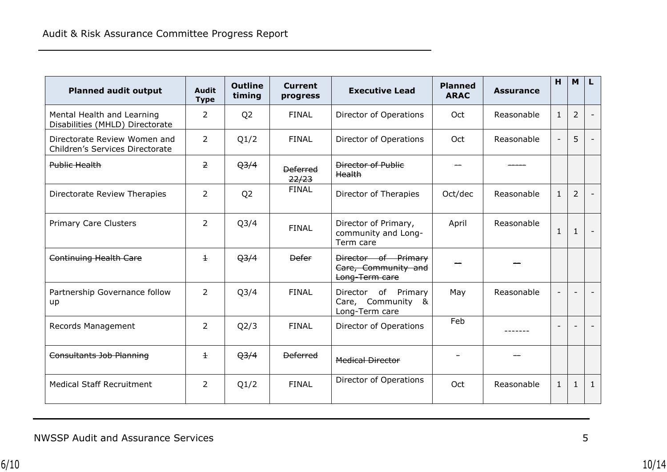| <b>Planned audit output</b>                                     | <b>Audit</b><br><b>Type</b> | <b>Outline</b><br>timing | <b>Current</b><br>progress | <b>Executive Lead</b>                                         | <b>Planned</b><br><b>ARAC</b> | <b>Assurance</b> | H                        | <b>M</b>                 | L.                       |
|-----------------------------------------------------------------|-----------------------------|--------------------------|----------------------------|---------------------------------------------------------------|-------------------------------|------------------|--------------------------|--------------------------|--------------------------|
| Mental Health and Learning<br>Disabilities (MHLD) Directorate   | $\overline{2}$              | Q <sub>2</sub>           | <b>FINAL</b>               | Director of Operations                                        | Oct                           | Reasonable       | $\mathbf{1}$             | $\overline{2}$           | $\overline{\phantom{a}}$ |
| Directorate Review Women and<br>Children's Services Directorate | $\overline{2}$              | Q1/2                     | <b>FINAL</b>               | Director of Operations                                        | Oct                           | Reasonable       |                          | 5                        |                          |
| Public Health                                                   | $\overline{2}$              | Q <sub>3/4</sub>         | <b>Deferred</b><br>22/23   | <b>Director of Public</b><br>Health                           |                               |                  |                          |                          |                          |
| Directorate Review Therapies                                    | $\overline{2}$              | Q <sub>2</sub>           | <b>FINAL</b>               | Director of Therapies                                         | Oct/dec                       | Reasonable       | $\mathbf{1}$             | $\overline{2}$           |                          |
| <b>Primary Care Clusters</b>                                    | $\overline{2}$              | Q <sub>3</sub> /4        | <b>FINAL</b>               | Director of Primary,<br>community and Long-<br>Term care      | April                         | Reasonable       | $\mathbf{1}$             | $\mathbf{1}$             | $\overline{\phantom{a}}$ |
| Continuing Health Care                                          | $\pm$                       | Q <sub>3/4</sub>         | <b>Defer</b>               | Director of Primary<br>Care, Community and<br>Long-Term care  |                               |                  |                          |                          |                          |
| Partnership Governance follow<br>up                             | $\overline{2}$              | Q <sub>3</sub> /4        | <b>FINAL</b>               | Director of<br>Primary<br>Care, Community &<br>Long-Term care | May                           | Reasonable       | $\overline{\phantom{a}}$ | $\overline{\phantom{0}}$ |                          |
| Records Management                                              | $\overline{2}$              | Q2/3                     | <b>FINAL</b>               | Director of Operations                                        | Feb                           |                  |                          |                          |                          |
| <b>Consultants Job Planning</b>                                 | $\pm$                       | Q <sub>3/4</sub>         | <b>Deferred</b>            | <b>Medical Director</b>                                       |                               |                  |                          |                          |                          |
| <b>Medical Staff Recruitment</b>                                | $\overline{2}$              | Q1/2                     | <b>FINAL</b>               | Director of Operations                                        | Oct                           | Reasonable       | $\mathbf{1}$             | $\mathbf{1}$             | $\mathbf{1}$             |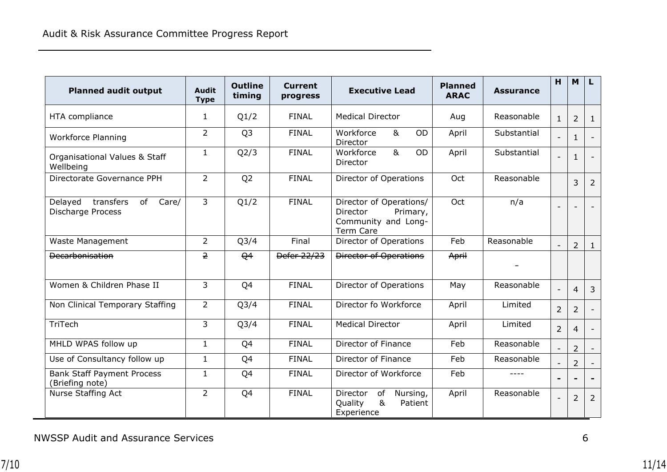| <b>Planned audit output</b>                                     | <b>Audit</b><br><b>Type</b> | <b>Outline</b><br>timing | <b>Current</b><br>progress | <b>Executive Lead</b>                                                                             | <b>Planned</b><br><b>ARAC</b> | <b>Assurance</b> | H                        | <b>M</b>       | L                        |
|-----------------------------------------------------------------|-----------------------------|--------------------------|----------------------------|---------------------------------------------------------------------------------------------------|-------------------------------|------------------|--------------------------|----------------|--------------------------|
| HTA compliance                                                  | $\mathbf{1}$                | Q1/2                     | <b>FINAL</b>               | <b>Medical Director</b>                                                                           | Aug                           | Reasonable       | $\mathbf{1}$             | $\overline{2}$ | $\mathbf{1}$             |
| <b>Workforce Planning</b>                                       | $\overline{2}$              | Q <sub>3</sub>           | <b>FINAL</b>               | Workforce<br>8 <sub>k</sub><br><b>OD</b><br>Director                                              | April                         | Substantial      |                          | $\mathbf{1}$   |                          |
| Organisational Values & Staff<br>Wellbeing                      | $\mathbf{1}$                | Q2/3                     | <b>FINAL</b>               | 8 <sub>k</sub><br>Workforce<br>OD<br>Director                                                     | April                         | Substantial      |                          | $\mathbf{1}$   |                          |
| Directorate Governance PPH                                      | $\overline{2}$              | Q <sub>2</sub>           | <b>FINAL</b>               | Director of Operations                                                                            | Oct                           | Reasonable       |                          | 3              | 2                        |
| transfers<br>of<br>Care/<br>Delayed<br><b>Discharge Process</b> | $\overline{3}$              | Q1/2                     | <b>FINAL</b>               | Director of Operations/<br><b>Director</b><br>Primary,<br>Community and Long-<br><b>Term Care</b> | Oct                           | n/a              |                          |                |                          |
| Waste Management                                                | $\overline{2}$              | Q <sub>3/4</sub>         | Final                      | Director of Operations                                                                            | Feb                           | Reasonable       | $\overline{\phantom{a}}$ | $\overline{2}$ | $\mathbf{1}$             |
| <b>Decarbonisation</b>                                          | $\overline{2}$              | Q <sub>4</sub>           | Defer 22/23                | <b>Director of Operations</b>                                                                     | April                         |                  |                          |                |                          |
| Women & Children Phase II                                       | $\overline{3}$              | Q4                       | <b>FINAL</b>               | Director of Operations                                                                            | May                           | Reasonable       |                          | $\overline{4}$ | $\overline{3}$           |
| Non Clinical Temporary Staffing                                 | $\overline{2}$              | Q <sub>3</sub> /4        | <b>FINAL</b>               | Director fo Workforce                                                                             | April                         | Limited          | $\overline{2}$           | 2              | $\overline{\phantom{a}}$ |
| TriTech                                                         | 3                           | Q <sub>3/4</sub>         | <b>FINAL</b>               | <b>Medical Director</b>                                                                           | April                         | Limited          | $\overline{2}$           | $\overline{4}$ | $\overline{\phantom{a}}$ |
| MHLD WPAS follow up                                             | $\mathbf{1}$                | Q4                       | <b>FINAL</b>               | Director of Finance                                                                               | Feb                           | Reasonable       |                          | $\overline{2}$ |                          |
| Use of Consultancy follow up                                    | $\mathbf{1}$                | Q4                       | <b>FINAL</b>               | <b>Director of Finance</b>                                                                        | Feb                           | Reasonable       |                          | $\overline{2}$ |                          |
| <b>Bank Staff Payment Process</b><br>(Briefing note)            | $\mathbf{1}$                | Q4                       | <b>FINAL</b>               | Director of Workforce                                                                             | Feb                           | $---$            |                          |                |                          |
| Nurse Staffing Act                                              | $\overline{2}$              | Q4                       | <b>FINAL</b>               | Director<br>of<br>Nursing,<br>8 <sub>k</sub><br>Quality<br>Patient<br>Experience                  | April                         | Reasonable       |                          | $\overline{2}$ | $\overline{2}$           |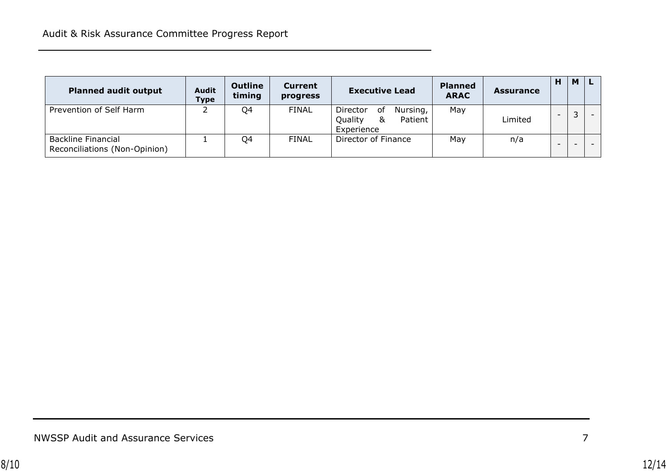| <b>Planned audit output</b>                                | <b>Audit</b><br><b>Type</b> | <b>Outline</b><br>timing | <b>Current</b><br>progress | <b>Executive Lead</b>                                          | <b>Planned</b><br><b>ARAC</b> | <b>Assurance</b> | н | M |  |
|------------------------------------------------------------|-----------------------------|--------------------------|----------------------------|----------------------------------------------------------------|-------------------------------|------------------|---|---|--|
| Prevention of Self Harm                                    |                             | Q4                       | <b>FINAL</b>               | Director<br>Nursing,<br>οf<br>Quality<br>Patient<br>Experience | May                           | Limited          |   |   |  |
| <b>Backline Financial</b><br>Reconciliations (Non-Opinion) |                             | Q4                       | <b>FINAL</b>               | Director of Finance                                            | May                           | n/a              |   |   |  |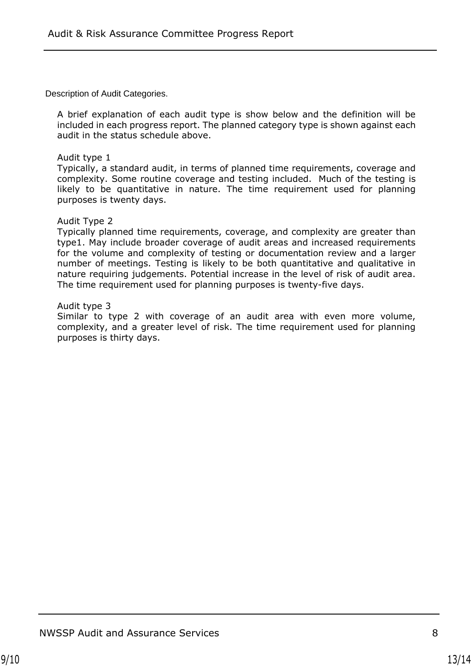Description of Audit Categories.

A brief explanation of each audit type is show below and the definition will be included in each progress report. The planned category type is shown against each audit in the status schedule above.

### Audit type 1

Typically, a standard audit, in terms of planned time requirements, coverage and complexity. Some routine coverage and testing included. Much of the testing is likely to be quantitative in nature. The time requirement used for planning purposes is twenty days.

### Audit Type 2

Typically planned time requirements, coverage, and complexity are greater than type1. May include broader coverage of audit areas and increased requirements for the volume and complexity of testing or documentation review and a larger number of meetings. Testing is likely to be both quantitative and qualitative in nature requiring judgements. Potential increase in the level of risk of audit area. The time requirement used for planning purposes is twenty-five days.

### Audit type 3

Similar to type 2 with coverage of an audit area with even more volume, complexity, and a greater level of risk. The time requirement used for planning purposes is thirty days.